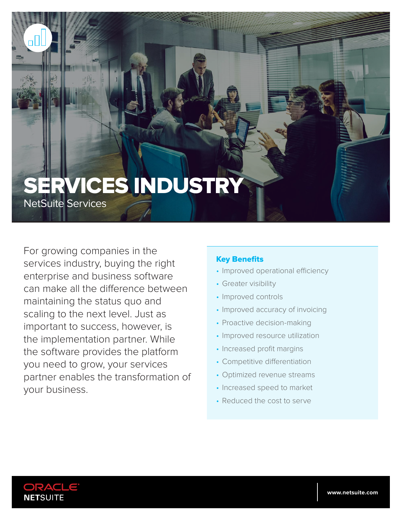# SERVICES INDUSTRY

NetSuite Services

For growing companies in the services industry, buying the right enterprise and business software can make all the difference between maintaining the status quo and scaling to the next level. Just as important to success, however, is the implementation partner. While the software provides the platform you need to grow, your services partner enables the transformation of your business.

#### Key Benefits

- Improved operational efficiency
- Greater visibility
- Improved controls
- Improved accuracy of invoicing
- Proactive decision-making
- Improved resource utilization
- Increased profit margins
- Competitive differentiation
- Optimized revenue streams
- Increased speed to market
- Reduced the cost to serve

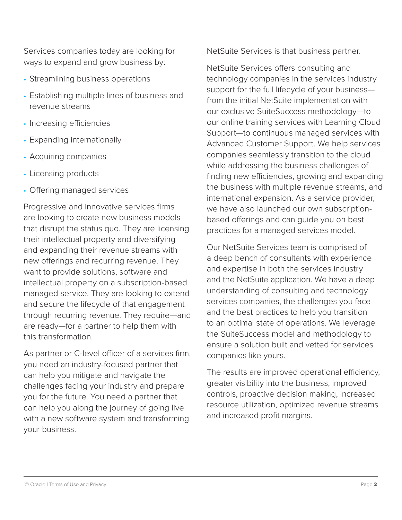Services companies today are looking for ways to expand and grow business by:

- Streamlining business operations
- Establishing multiple lines of business and revenue streams
- Increasing efficiencies
- Expanding internationally
- Acquiring companies
- Licensing products
- Offering managed services

Progressive and innovative services firms are looking to create new business models that disrupt the status quo. They are licensing their intellectual property and diversifying and expanding their revenue streams with new offerings and recurring revenue. They want to provide solutions, software and intellectual property on a subscription-based managed service. They are looking to extend and secure the lifecycle of that engagement through recurring revenue. They require—and are ready—for a partner to help them with this transformation.

As partner or C-level officer of a services firm, you need an industry-focused partner that can help you mitigate and navigate the challenges facing your industry and prepare you for the future. You need a partner that can help you along the journey of going live with a new software system and transforming your business.

NetSuite Services is that business partner.

NetSuite Services offers consulting and technology companies in the services industry support for the full lifecycle of your business from the initial NetSuite implementation with our exclusive SuiteSuccess methodology—to our online training services with Learning Cloud Support—to continuous managed services with Advanced Customer Support. We help services companies seamlessly transition to the cloud while addressing the business challenges of finding new efficiencies, growing and expanding the business with multiple revenue streams, and international expansion. As a service provider, we have also launched our own subscriptionbased offerings and can guide you on best practices for a managed services model.

Our NetSuite Services team is comprised of a deep bench of consultants with experience and expertise in both the services industry and the NetSuite application. We have a deep understanding of consulting and technology services companies, the challenges you face and the best practices to help you transition to an optimal state of operations. We leverage the SuiteSuccess model and methodology to ensure a solution built and vetted for services companies like yours.

The results are improved operational efficiency, greater visibility into the business, improved controls, proactive decision making, increased resource utilization, optimized revenue streams and increased profit margins.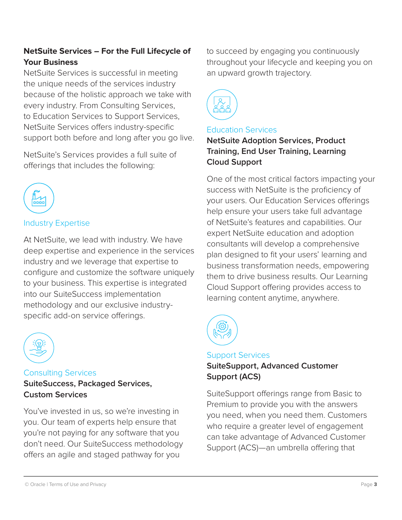## **NetSuite Services – For the Full Lifecycle of Your Business**

NetSuite Services is successful in meeting the unique needs of the services industry because of the holistic approach we take with every industry. From Consulting Services, to Education Services to Support Services, NetSuite Services offers industry-specific support both before and long after you go live.

NetSuite's Services provides a full suite of offerings that includes the following:



# Industry Expertise

At NetSuite, we lead with industry. We have deep expertise and experience in the services industry and we leverage that expertise to configure and customize the software uniquely to your business. This expertise is integrated into our SuiteSuccess implementation methodology and our exclusive industryspecific add-on service offerings.



#### Consulting Services **SuiteSuccess, Packaged Services, Custom Services**

You've invested in us, so we're investing in you. Our team of experts help ensure that you're not paying for any software that you don't need. Our SuiteSuccess methodology offers an agile and staged pathway for you

to succeed by engaging you continuously throughout your lifecycle and keeping you on an upward growth trajectory.



#### Education Services

**NetSuite Adoption Services, Product Training, End User Training, Learning Cloud Support**

One of the most critical factors impacting your success with NetSuite is the proficiency of your users. Our Education Services offerings help ensure your users take full advantage of NetSuite's features and capabilities. Our expert NetSuite education and adoption consultants will develop a comprehensive plan designed to fit your users' learning and business transformation needs, empowering them to drive business results. Our Learning Cloud Support offering provides access to learning content anytime, anywhere.



# Support Services

### **SuiteSupport, Advanced Customer Support (ACS)**

SuiteSupport offerings range from Basic to Premium to provide you with the answers you need, when you need them. Customers who require a greater level of engagement can take advantage of Advanced Customer Support (ACS)—an umbrella offering that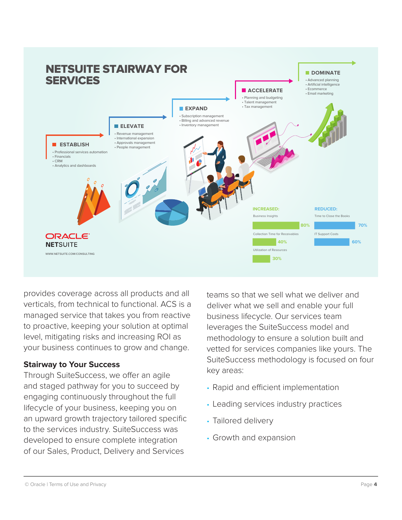

provides coverage across all products and all verticals, from technical to functional. ACS is a managed service that takes you from reactive to proactive, keeping your solution at optimal level, mitigating risks and increasing ROI as your business continues to grow and change.

#### **Stairway to Your Success**

Through SuiteSuccess, we offer an agile and staged pathway for you to succeed by engaging continuously throughout the full lifecycle of your business, keeping you on an upward growth trajectory tailored specific to the services industry. SuiteSuccess was developed to ensure complete integration of our Sales, Product, Delivery and Services

teams so that we sell what we deliver and deliver what we sell and enable your full business lifecycle. Our services team leverages the SuiteSuccess model and methodology to ensure a solution built and vetted for services companies like yours. The SuiteSuccess methodology is focused on four key areas:

- Rapid and efficient implementation
- Leading services industry practices
- Tailored delivery
- Growth and expansion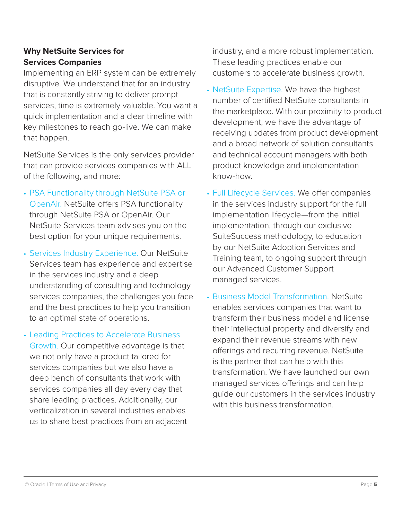#### **Why NetSuite Services for Services Companies**

Implementing an ERP system can be extremely disruptive. We understand that for an industry that is constantly striving to deliver prompt services, time is extremely valuable. You want a quick implementation and a clear timeline with key milestones to reach go-live. We can make that happen.

NetSuite Services is the only services provider that can provide services companies with ALL of the following, and more:

- PSA Functionality through NetSuite PSA or OpenAir. NetSuite offers PSA functionality through NetSuite PSA or OpenAir. Our NetSuite Services team advises you on the best option for your unique requirements.
- Services Industry Experience. Our NetSuite Services team has experience and expertise in the services industry and a deep understanding of consulting and technology services companies, the challenges you face and the best practices to help you transition to an optimal state of operations.
- Leading Practices to Accelerate Business Growth. Our competitive advantage is that we not only have a product tailored for services companies but we also have a deep bench of consultants that work with services companies all day every day that share leading practices. Additionally, our verticalization in several industries enables us to share best practices from an adjacent

industry, and a more robust implementation. These leading practices enable our customers to accelerate business growth.

- NetSuite Expertise. We have the highest number of certified NetSuite consultants in the marketplace. With our proximity to product development, we have the advantage of receiving updates from product development and a broad network of solution consultants and technical account managers with both product knowledge and implementation know-how.
- Full Lifecycle Services. We offer companies in the services industry support for the full implementation lifecycle—from the initial implementation, through our exclusive SuiteSuccess methodology, to education by our NetSuite Adoption Services and Training team, to ongoing support through our Advanced Customer Support managed services.
- Business Model Transformation. NetSuite enables services companies that want to transform their business model and license their intellectual property and diversify and expand their revenue streams with new offerings and recurring revenue. NetSuite is the partner that can help with this transformation. We have launched our own managed services offerings and can help guide our customers in the services industry with this business transformation.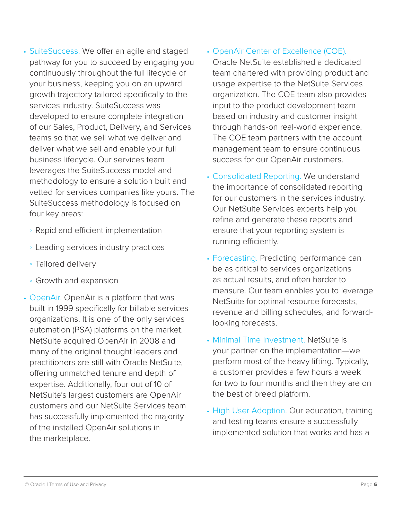- SuiteSuccess. We offer an agile and staged pathway for you to succeed by engaging you continuously throughout the full lifecycle of your business, keeping you on an upward growth trajectory tailored specifically to the services industry. SuiteSuccess was developed to ensure complete integration of our Sales, Product, Delivery, and Services teams so that we sell what we deliver and deliver what we sell and enable your full business lifecycle. Our services team leverages the SuiteSuccess model and methodology to ensure a solution built and vetted for services companies like yours. The SuiteSuccess methodology is focused on four key areas:
	- Rapid and efficient implementation
	- Leading services industry practices
	- Tailored delivery
	- Growth and expansion
- OpenAir. OpenAir is a platform that was built in 1999 specifically for billable services organizations. It is one of the only services automation (PSA) platforms on the market. NetSuite acquired OpenAir in 2008 and many of the original thought leaders and practitioners are still with Oracle NetSuite, offering unmatched tenure and depth of expertise. Additionally, four out of 10 of NetSuite's largest customers are OpenAir customers and our NetSuite Services team has successfully implemented the majority of the installed OpenAir solutions in the marketplace.
- OpenAir Center of Excellence (COE). Oracle NetSuite established a dedicated team chartered with providing product and usage expertise to the NetSuite Services organization. The COE team also provides input to the product development team based on industry and customer insight through hands-on real-world experience. The COE team partners with the account management team to ensure continuous success for our OpenAir customers.
- Consolidated Reporting. We understand the importance of consolidated reporting for our customers in the services industry. Our NetSuite Services experts help you refine and generate these reports and ensure that your reporting system is running efficiently.
- Forecasting. Predicting performance can be as critical to services organizations as actual results, and often harder to measure. Our team enables you to leverage NetSuite for optimal resource forecasts, revenue and billing schedules, and forwardlooking forecasts.
- Minimal Time Investment. NetSuite is your partner on the implementation—we perform most of the heavy lifting. Typically, a customer provides a few hours a week for two to four months and then they are on the best of breed platform.
- High User Adoption. Our education, training and testing teams ensure a successfully implemented solution that works and has a